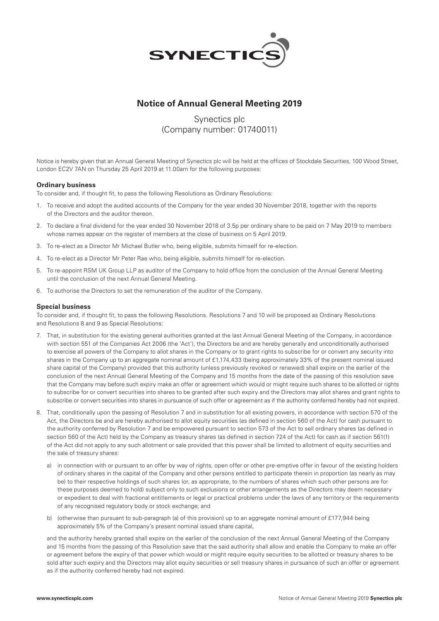

## **Notice of Annual General Meeting 2019**

# Synectics plc (Company number: 01740011)

Notice is hereby given that an Annual General Meeting of Synectics plc will be held at the offices of Stockdale Securities, 100 Wood Street, London EC2V 7AN on Thursday 25 April 2019 at 11.00am for the following purposes:

### **Ordinary business**

To consider and, if thought fit, to pass the following Resolutions as Ordinary Resolutions:

- 1. To receive and adopt the audited accounts of the Company for the year ended 30 November 2018, together with the reports of the Directors and the auditor thereon.
- 2. To declare a final dividend for the year ended 30 November 2018 of 3.5p per ordinary share to be paid on 7 May 2019 to members whose names appear on the register of members at the close of business on 5 April 2019.
- 3. To re-elect as a Director Mr Michael Butler who, being eligible, submits himself for re-election.
- 4. To re-elect as a Director Mr Peter Rae who, being eligible, submits himself for re-election.
- 5. To re-appoint RSM UK Group LLP as auditor of the Company to hold office from the conclusion of the Annual General Meeting until the conclusion of the next Annual General Meeting.
- 6. To authorise the Directors to set the remuneration of the auditor of the Company.

#### **Special business**

To consider and, if thought fit, to pass the following Resolutions. Resolutions 7 and 10 will be proposed as Ordinary Resolutions and Resolutions 8 and 9 as Special Resolutions:

- 7. That, in substitution for the existing general authorities granted at the last Annual General Meeting of the Company, in accordance with section 551 of the Companies Act 2006 (the 'Act'), the Directors be and are hereby generally and unconditionally authorised to exercise all powers of the Company to allot shares in the Company or to grant rights to subscribe for or convert any security into shares in the Company up to an aggregate nominal amount of £1,174,433 (being approximately 33% of the present nominal issued share capital of the Company) provided that this authority (unless previously revoked or renewed) shall expire on the earlier of the conclusion of the next Annual General Meeting of the Company and 15 months from the date of the passing of this resolution save that the Company may before such expiry make an offer or agreement which would or might require such shares to be allotted or rights to subscribe for or convert securities into shares to be granted after such expiry and the Directors may allot shares and grant rights to subscribe or convert securities into shares in pursuance of such offer or agreement as if the authority conferred hereby had not expired.
- 8. That, conditionally upon the passing of Resolution 7 and in substitution for all existing powers, in accordance with section 570 of the Act, the Directors be and are hereby authorised to allot equity securities (as defined in section 560 of the Act) for cash pursuant to the authority conferred by Resolution 7 and be empowered pursuant to section 573 of the Act to sell ordinary shares (as defined in section 560 of the Act) held by the Company as treasury shares (as defined in section 724 of the Act) for cash as if section 561(1) of the Act did not apply to any such allotment or sale provided that this power shall be limited to allotment of equity securities and the sale of treasury shares:
	- a) in connection with or pursuant to an offer by way of rights, open offer or other pre-emptive offer in favour of the existing holders of ordinary shares in the capital of the Company and other persons entitled to participate therein in proportion (as nearly as may be) to their respective holdings of such shares (or, as appropriate, to the numbers of shares which such other persons are for these purposes deemed to hold) subject only to such exclusions or other arrangements as the Directors may deem necessary or expedient to deal with fractional entitlements or legal or practical problems under the laws of any territory or the requirements of any recognised regulatory body or stock exchange; and
	- b) (otherwise than pursuant to sub-paragraph (a) of this provision) up to an aggregate nominal amount of £177,944 being approximately 5% of the Company's present nominal issued share capital,

 and the authority hereby granted shall expire on the earlier of the conclusion of the next Annual General Meeting of the Company and 15 months from the passing of this Resolution save that the said authority shall allow and enable the Company to make an offer or agreement before the expiry of that power which would or might require equity securities to be allotted or treasury shares to be sold after such expiry and the Directors may allot equity securities or sell treasury shares in pursuance of such an offer or agreement as if the authority conferred hereby had not expired.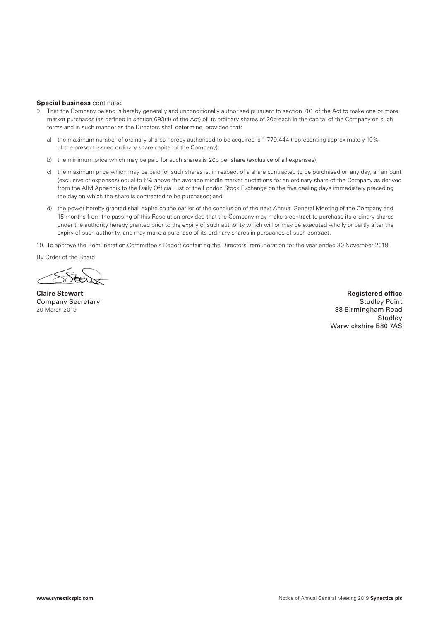#### **Special business** continued

- 9. That the Company be and is hereby generally and unconditionally authorised pursuant to section 701 of the Act to make one or more market purchases (as defined in section 693(4) of the Act) of its ordinary shares of 20p each in the capital of the Company on such terms and in such manner as the Directors shall determine, provided that:
	- a) the maximum number of ordinary shares hereby authorised to be acquired is 1,779,444 (representing approximately 10% of the present issued ordinary share capital of the Company);
	- b) the minimum price which may be paid for such shares is 20p per share (exclusive of all expenses);
	- c) the maximum price which may be paid for such shares is, in respect of a share contracted to be purchased on any day, an amount (exclusive of expenses) equal to 5% above the average middle market quotations for an ordinary share of the Company as derived from the AIM Appendix to the Daily Official List of the London Stock Exchange on the five dealing days immediately preceding the day on which the share is contracted to be purchased; and
	- d) the power hereby granted shall expire on the earlier of the conclusion of the next Annual General Meeting of the Company and 15 months from the passing of this Resolution provided that the Company may make a contract to purchase its ordinary shares under the authority hereby granted prior to the expiry of such authority which will or may be executed wholly or partly after the expiry of such authority, and may make a purchase of its ordinary shares in pursuance of such contract.

10. To approve the Remuneration Committee's Report containing the Directors' remuneration for the year ended 30 November 2018.

By Order of the Board

**Claire Stewart Registered office Registered office Registered office Registered office** Company Secretary Studley Point Company Studies and Studies and Studies and Studies and Studies and Studies and Studies and Studies and Studies and Studies and Studies and Studies and Studies and Studies and Studies and St 20 March 2019 88 Birmingham Road **Studlev** Warwickshire B80 7AS